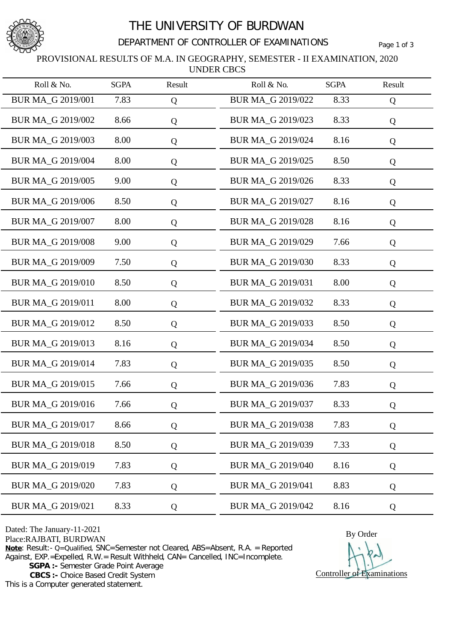

## THE UNIVERSITY OF BURDWAN

### DEPARTMENT OF CONTROLLER OF EXAMINATIONS Page 1 of 3

#### PROVISIONAL RESULTS OF M.A. IN GEOGRAPHY, SEMESTER - II EXAMINATION, 2020 UNDER CBCS

| Roll & No.               | <b>SGPA</b> | Result | Roll & No.               | <b>SGPA</b> | Result |
|--------------------------|-------------|--------|--------------------------|-------------|--------|
| BUR MA_G 2019/001        | 7.83        | Q      | BUR MA_G 2019/022        | 8.33        | Q      |
| BUR MA_G 2019/002        | 8.66        | Q      | BUR MA_G 2019/023        | 8.33        | Q      |
| BUR MA_G 2019/003        | 8.00        | Q      | BUR MA_G 2019/024        | 8.16        | Q      |
| BUR MA_G 2019/004        | 8.00        | Q      | BUR MA_G 2019/025        | 8.50        | Q      |
| BUR MA_G 2019/005        | 9.00        | Q      | BUR MA_G 2019/026        | 8.33        | Q      |
| <b>BUR MA_G 2019/006</b> | 8.50        | Q      | BUR MA_G 2019/027        | 8.16        | Q      |
| BUR MA_G 2019/007        | 8.00        | Q      | BUR MA_G 2019/028        | 8.16        | Q      |
| <b>BUR MA G 2019/008</b> | 9.00        | Q      | BUR MA_G 2019/029        | 7.66        | Q      |
| BUR MA G 2019/009        | 7.50        | Q      | BUR MA_G 2019/030        | 8.33        | Q      |
| BUR MA_G 2019/010        | 8.50        | Q      | BUR MA G 2019/031        | 8.00        | Q      |
| BUR MA_G 2019/011        | 8.00        | Q      | BUR MA_G 2019/032        | 8.33        | Q      |
| BUR MA_G 2019/012        | 8.50        | Q      | BUR MA_G 2019/033        | 8.50        | Q      |
| BUR MA_G 2019/013        | 8.16        | Q      | BUR MA_G 2019/034        | 8.50        | Q      |
| BUR MA_G 2019/014        | 7.83        | Q      | BUR MA_G 2019/035        | 8.50        | Q      |
| <b>BUR MA G 2019/015</b> | 7.66        | Q      | BUR MA_G 2019/036        | 7.83        | Q      |
| BUR MA_G 2019/016        | 7.66        | Q      | BUR MA_G 2019/037        | 8.33        | Q      |
| BUR MA G 2019/017        | 8.66        | Q      | BUR MA_G 2019/038        | 7.83        | Q      |
| BUR MA_G 2019/018        | 8.50        | Q      | BUR MA_G 2019/039        | 7.33        | Q      |
| BUR MA_G 2019/019        | 7.83        | Q      | <b>BUR MA_G 2019/040</b> | 8.16        | Q      |
| BUR MA_G 2019/020        | 7.83        | Q      | BUR MA G 2019/041        | 8.83        | Q      |
| BUR MA_G 2019/021        | 8.33        | Q      | BUR MA_G 2019/042        | 8.16        | Q      |

Dated: The January-11-2021

**Note**: Result:- Q=Qualified, SNC=Semester not Cleared, ABS=Absent, R.A. = Reported

Against, EXP.=Expelled, R.W.= Result Withheld, CAN= Cancelled, INC=Incomplete.

**SGPA :-** Semester Grade Point Average

 **CBCS :-** Choice Based Credit System

This is a Computer generated statement.

Dated: The January-11-2021<br>
Place:RAJBATI, BURDWAN By Order Controller of Examinations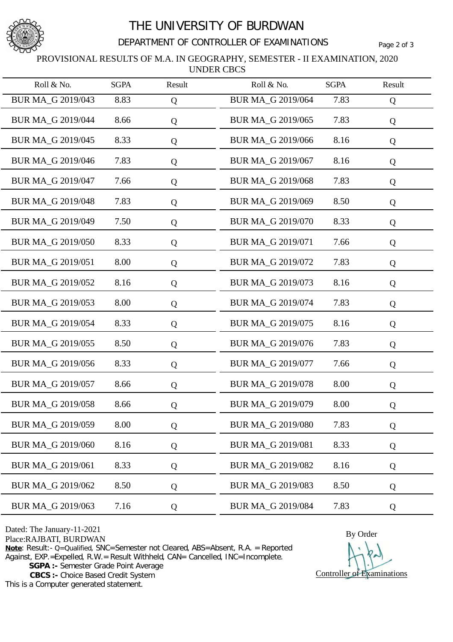

## THE UNIVERSITY OF BURDWAN

### DEPARTMENT OF CONTROLLER OF EXAMINATIONS Page 2 of 3

#### PROVISIONAL RESULTS OF M.A. IN GEOGRAPHY, SEMESTER - II EXAMINATION, 2020 UNDER CBCS

| Roll & No.               | <b>SGPA</b> | Result    | Roll & No.               | <b>SGPA</b> | Result |
|--------------------------|-------------|-----------|--------------------------|-------------|--------|
| BUR MA_G 2019/043        | 8.83        | Q         | BUR MA_G 2019/064        | 7.83        | Q      |
| BUR MA_G 2019/044        | 8.66        | Q         | BUR MA_G 2019/065        | 7.83        | Q      |
| BUR MA_G 2019/045        | 8.33        | Q         | BUR MA_G 2019/066        | 8.16        | Q      |
| BUR MA_G 2019/046        | 7.83        | Q         | BUR MA_G 2019/067        | 8.16        | Q      |
| BUR MA_G 2019/047        | 7.66        | Q         | BUR MA_G 2019/068        | 7.83        | Q      |
| BUR MA_G 2019/048        | 7.83        | Q         | BUR MA_G 2019/069        | 8.50        | Q      |
| BUR MA_G 2019/049        | 7.50        | Q         | BUR MA_G 2019/070        | 8.33        | Q      |
| <b>BUR MA_G 2019/050</b> | 8.33        | Q         | BUR MA_G 2019/071        | 7.66        | Q      |
| BUR MA_G 2019/051        | 8.00        | Q         | BUR MA_G 2019/072        | 7.83        | Q      |
| BUR MA_G 2019/052        | 8.16        | Q         | BUR MA G 2019/073        | 8.16        | Q      |
| BUR MA_G 2019/053        | 8.00        | Q         | BUR MA_G 2019/074        | 7.83        | Q      |
| BUR MA_G 2019/054        | 8.33        | Q         | BUR MA_G 2019/075        | 8.16        | Q      |
| BUR MA_G 2019/055        | 8.50        | Q         | BUR MA_G 2019/076        | 7.83        | Q      |
| BUR MA_G 2019/056        | 8.33        | Q         | BUR MA_G 2019/077        | 7.66        | Q      |
| BUR MA_G 2019/057        | 8.66        | Q         | BUR MA_G 2019/078        | 8.00        | Q      |
| <b>BUR MA G 2019/058</b> | 8.66        | Q         | BUR MA G 2019/079        | 8.00        | Q      |
| BUR MA G 2019/059        | 8.00        | Q         | <b>BUR MA_G 2019/080</b> | 7.83        | Q      |
| <b>BUR MA G 2019/060</b> | 8.16        | Q         | BUR MA_G 2019/081        | 8.33        | Q      |
| BUR MA_G 2019/061        | 8.33        | ${\bf Q}$ | <b>BUR MA G 2019/082</b> | 8.16        | Q      |
| BUR MA_G 2019/062        | 8.50        | Q         | <b>BUR MA G 2019/083</b> | 8.50        | Q      |
| BUR MA_G 2019/063        | 7.16        | Q         | BUR MA_G 2019/084        | 7.83        | Q      |

Dated: The January-11-2021

**Note**: Result:- Q=Qualified, SNC=Semester not Cleared, ABS=Absent, R.A. = Reported

Against, EXP.=Expelled, R.W.= Result Withheld, CAN= Cancelled, INC=Incomplete.

**SGPA :-** Semester Grade Point Average

 **CBCS :-** Choice Based Credit System

This is a Computer generated statement.

Dated: The January-11-2021<br>
Place:RAJBATI, BURDWAN By Order Controller of Examinations